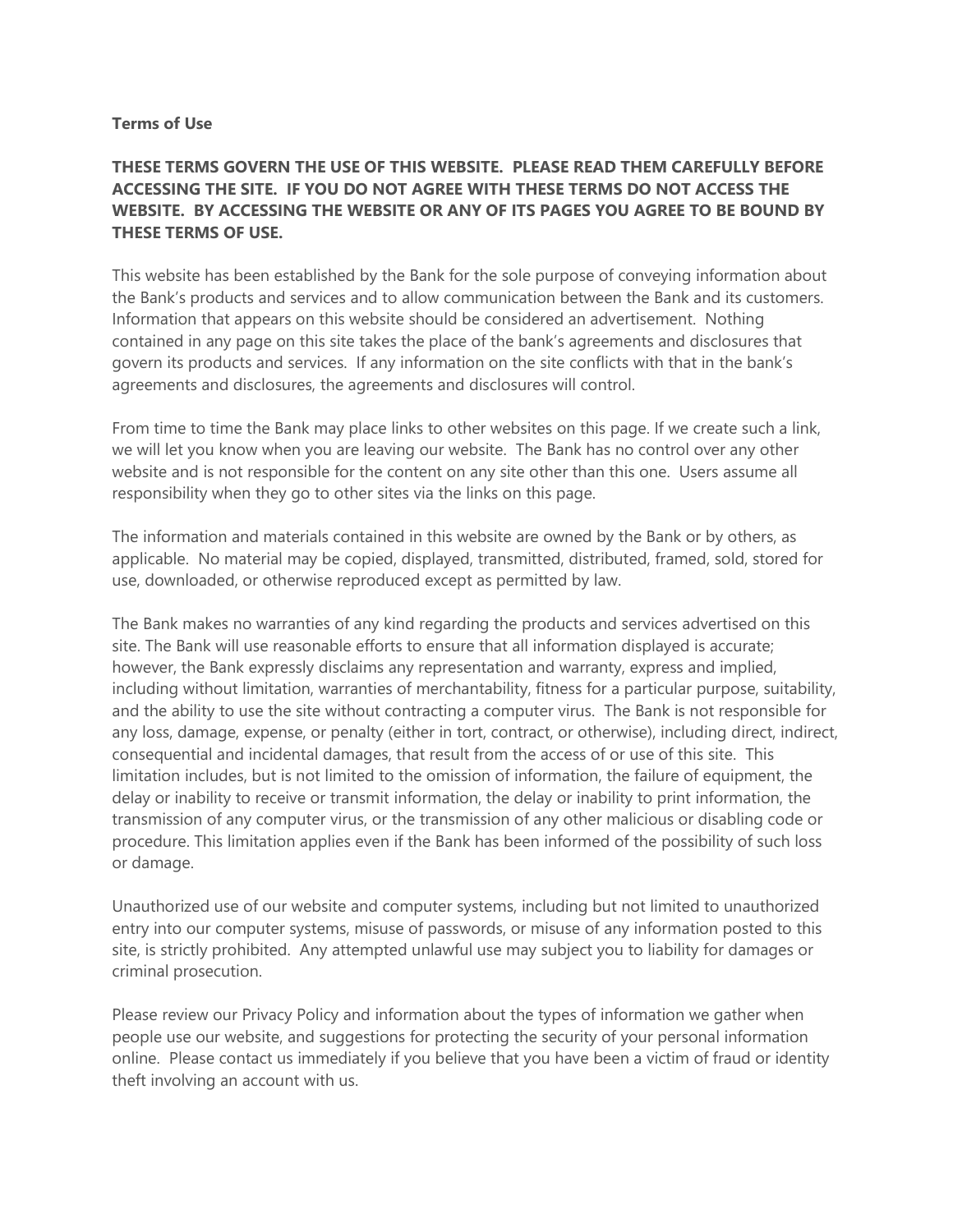## **Terms of Use**

## **THESE TERMS GOVERN THE USE OF THIS WEBSITE. PLEASE READ THEM CAREFULLY BEFORE ACCESSING THE SITE. IF YOU DO NOT AGREE WITH THESE TERMS DO NOT ACCESS THE WEBSITE. BY ACCESSING THE WEBSITE OR ANY OF ITS PAGES YOU AGREE TO BE BOUND BY THESE TERMS OF USE.**

This website has been established by the Bank for the sole purpose of conveying information about the Bank's products and services and to allow communication between the Bank and its customers. Information that appears on this website should be considered an advertisement. Nothing contained in any page on this site takes the place of the bank's agreements and disclosures that govern its products and services. If any information on the site conflicts with that in the bank's agreements and disclosures, the agreements and disclosures will control.

From time to time the Bank may place links to other websites on this page. If we create such a link, we will let you know when you are leaving our website. The Bank has no control over any other website and is not responsible for the content on any site other than this one. Users assume all responsibility when they go to other sites via the links on this page.

The information and materials contained in this website are owned by the Bank or by others, as applicable. No material may be copied, displayed, transmitted, distributed, framed, sold, stored for use, downloaded, or otherwise reproduced except as permitted by law.

The Bank makes no warranties of any kind regarding the products and services advertised on this site. The Bank will use reasonable efforts to ensure that all information displayed is accurate; however, the Bank expressly disclaims any representation and warranty, express and implied, including without limitation, warranties of merchantability, fitness for a particular purpose, suitability, and the ability to use the site without contracting a computer virus. The Bank is not responsible for any loss, damage, expense, or penalty (either in tort, contract, or otherwise), including direct, indirect, consequential and incidental damages, that result from the access of or use of this site. This limitation includes, but is not limited to the omission of information, the failure of equipment, the delay or inability to receive or transmit information, the delay or inability to print information, the transmission of any computer virus, or the transmission of any other malicious or disabling code or procedure. This limitation applies even if the Bank has been informed of the possibility of such loss or damage.

Unauthorized use of our website and computer systems, including but not limited to unauthorized entry into our computer systems, misuse of passwords, or misuse of any information posted to this site, is strictly prohibited. Any attempted unlawful use may subject you to liability for damages or criminal prosecution.

Please review our Privacy Policy and information about the types of information we gather when people use our website, and suggestions for protecting the security of your personal information online. Please contact us immediately if you believe that you have been a victim of fraud or identity theft involving an account with us.